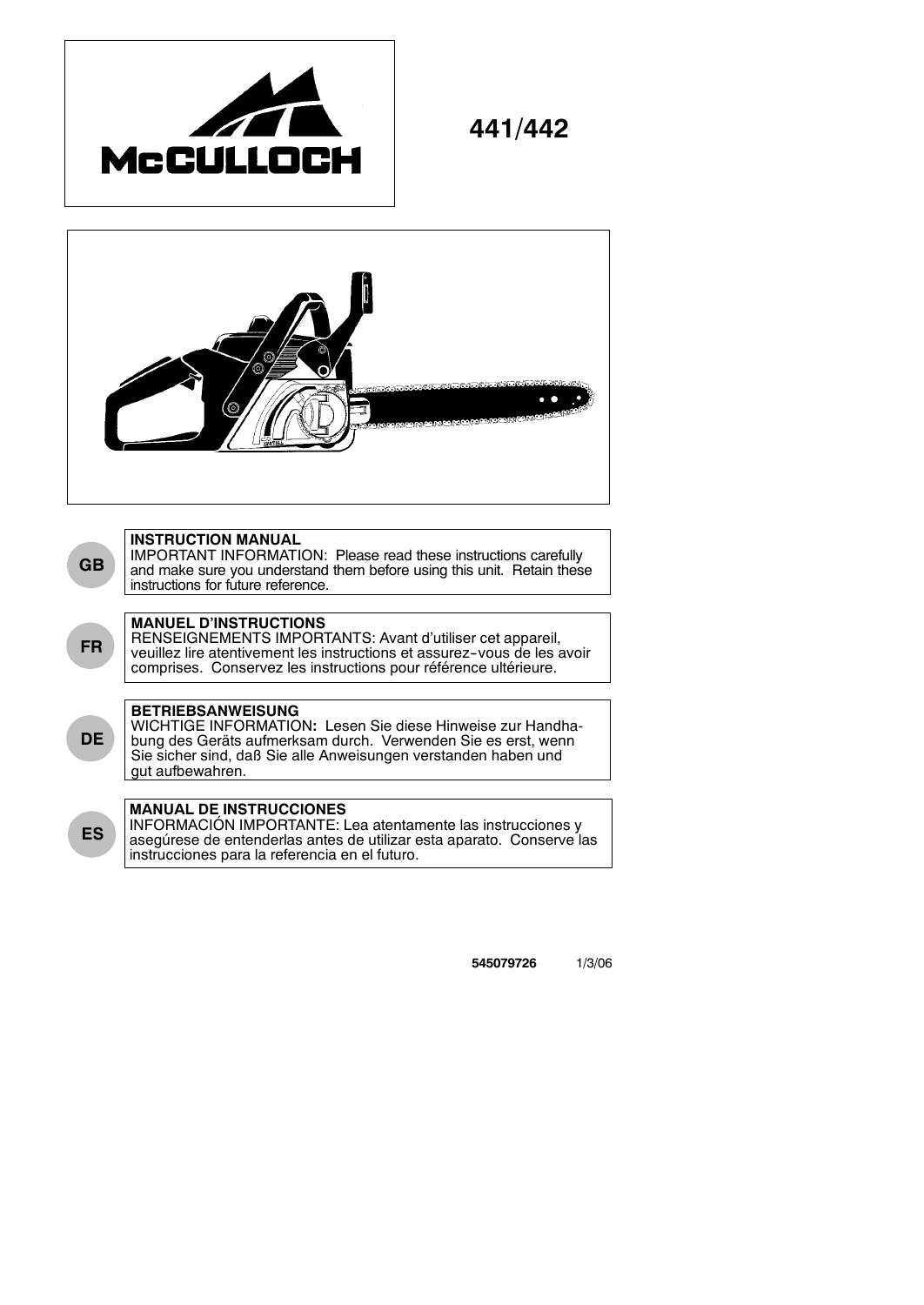

**441/442**



IMPORTANT INFORMATION: Please read these instructions carefully and make sure you understand them before using this unit. Retain these instructions for future reference.

## **MANUEL D'INSTRUCTIONS**

**GB**

**FR**

**DE**

**ES**

RENSEIGNEMENTS IMPORTANTS: Avant d'utiliser cet appareil, veuillez lire atentivement les instructions et assurez-vous de les avoir comprises. Conservez les instructions pour référence ultérieure.

# **BETRIEBSANWEISUNG**

WICHTIGE INFORMATION**:** Lesen Sie diese Hinweise zur Handhabung des Geräts aufmerksam durch. Verwenden Sie es erst, wenn Sie sicher sind, daß Sie alle Anweisungen verstanden haben und gut aufbewahren.

# **MANUAL DE INSTRUCCIONES**

INFORMACIÓN IMPORTANTE: Lea atentamente las instrucciones y asegúrese de entenderlas antes de utilizar esta aparato. Conserve las instrucciones para la referencia en el futuro.

**545079726** 1/3/06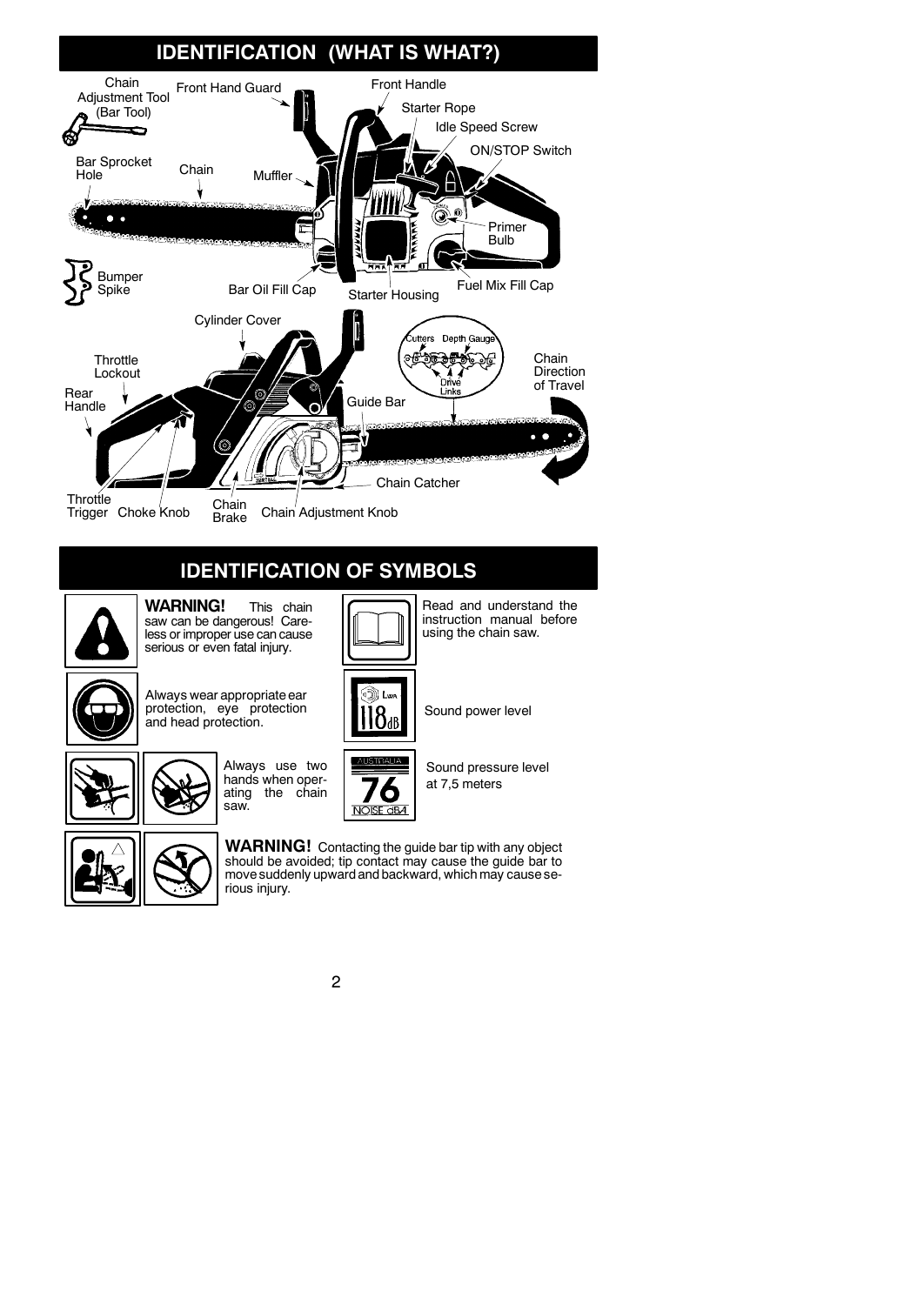

# **IDENTIFICATION OF SYMBOLS**



**WARNING!** This chain saw can be dangerous! Careless or improper use can cause serious or even fatal injury.



Always wear appropriate ear protection, eye protection protection, eye protection  $\begin{bmatrix} 1 & 1 & 1 \ 0 & 1 & 0 \end{bmatrix}$  Sound power level



Always use two hands when operating the chain saw.



Sound pressure level at 7,5 meters

Read and understand the instruction manual before using the chain saw.



**WARNING!** Contacting the guide bar tip with any object should be avoided; tip contact may cause the guide bar to move suddenly upward and backward, which may cause serious injury.

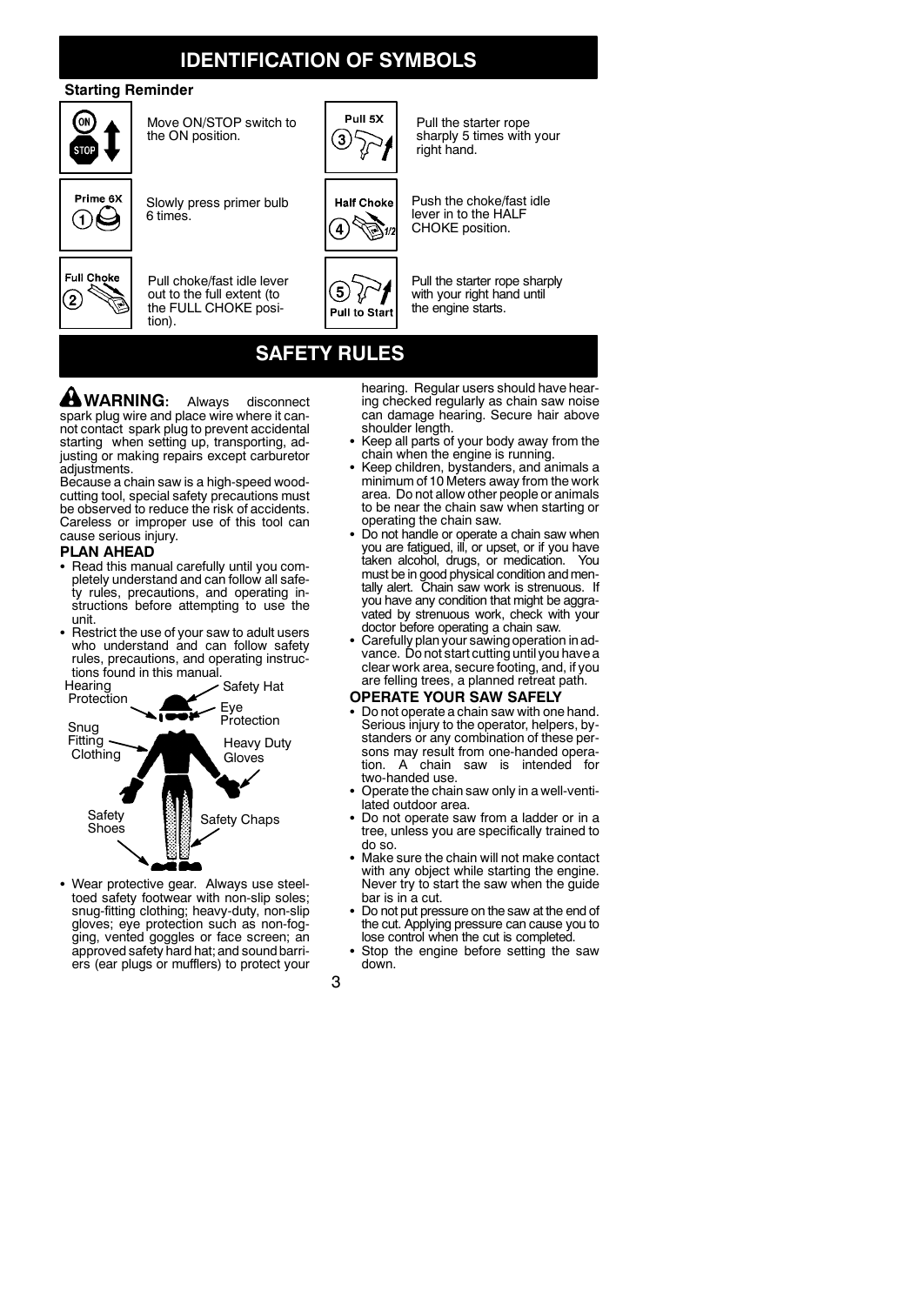# **IDENTIFICATION OF SYMBOLS**

### **Starting Reminder**



Move ON/STOP switch to the ON position.



Slowly press primer bulb

6 times.

tion).



Pull choke/fast idle lever out to the full extent (to the FULL CHOKE posi-



Pull the starter rope sharply 5 times with your right hand.



Push the choke/fast idle lever in to the HALF CHOKE position.



Pull the starter rope sharply with your right hand until the engine starts.

# **SAFETY RULES**

່5

**WARNING:** Always disconnect spark plug wire and place wire where it cannot contact spark plug to prevent accidental starting when setting up, transporting, adjusting or making repairs except carburetor adiustments.

Because a chain saw is a high-speed woodcutting tool, special safety precautions must be observed to reduce the risk of accidents. Careless or improper use of this tool can cause serious injury.

### **PLAN AHEAD**

- Read this manual carefully until you completely understand and can follow all safety rules, precautions, and operating instructions before attempting to use the unit.
- Restrict the use of your saw to adult users who understand and can follow safety rules, precautions, and operating instructions found in this manual.



• Wear protective gear. Always use steeltoed safety footwear with non-slip soles; snug-fitting clothing; heavy-duty, non-slip gloves; eye protection such as non-fogging, vented goggles or face screen; an approved safety hard hat; and sound barriers (ear plugs or mufflers) to protect your

hearing. Regular users should have hear-ing checked regularly as chain saw noise can damage hearing. Secure hair above shoulder length.

- Keep all parts of your body away from the chain when the engine is running.
- Keep children, bystanders, and animals a minimum of 10 Meters away from the work area. Do not allow other people or animals to be near the chain saw when starting or operating the chain saw.
- Do not handle or operate a chain saw when you are fatigued, ill, or upset, or if you have taken alcohol, drugs, or medication. You must be in good physical condition and mentally alert. Chain saw work is strenuous. If you have any condition that might be aggravated by strenuous work, check with your
- doctor before operating a chain saw. S Carefully plan your sawing operation in advance. Do not start cutting until you have a clear work area, secure footing, and, if you are felling trees, a planned retreat path.

### **OPERATE YOUR SAW SAFELY**

- Do not operate a chain saw with one hand. Serious injury to the operator, helpers, bystanders or any combination of these persons may result from one-handed operation. A chain saw is intended for two-handed use.
- Operate the chain saw only in a well-ventilated outdoor area.
- Do not operate saw from a ladder or in a tree, unless you are specifically trained to do so.
- Make sure the chain will not make contact with any object while starting the engine. Never try to start the saw when the guide bar is in a cut.
- Do not put pressure on the saw at the end of the cut. Applying pressure can cause you to lose control when the cut is completed.
- Stop the engine before setting the saw down.

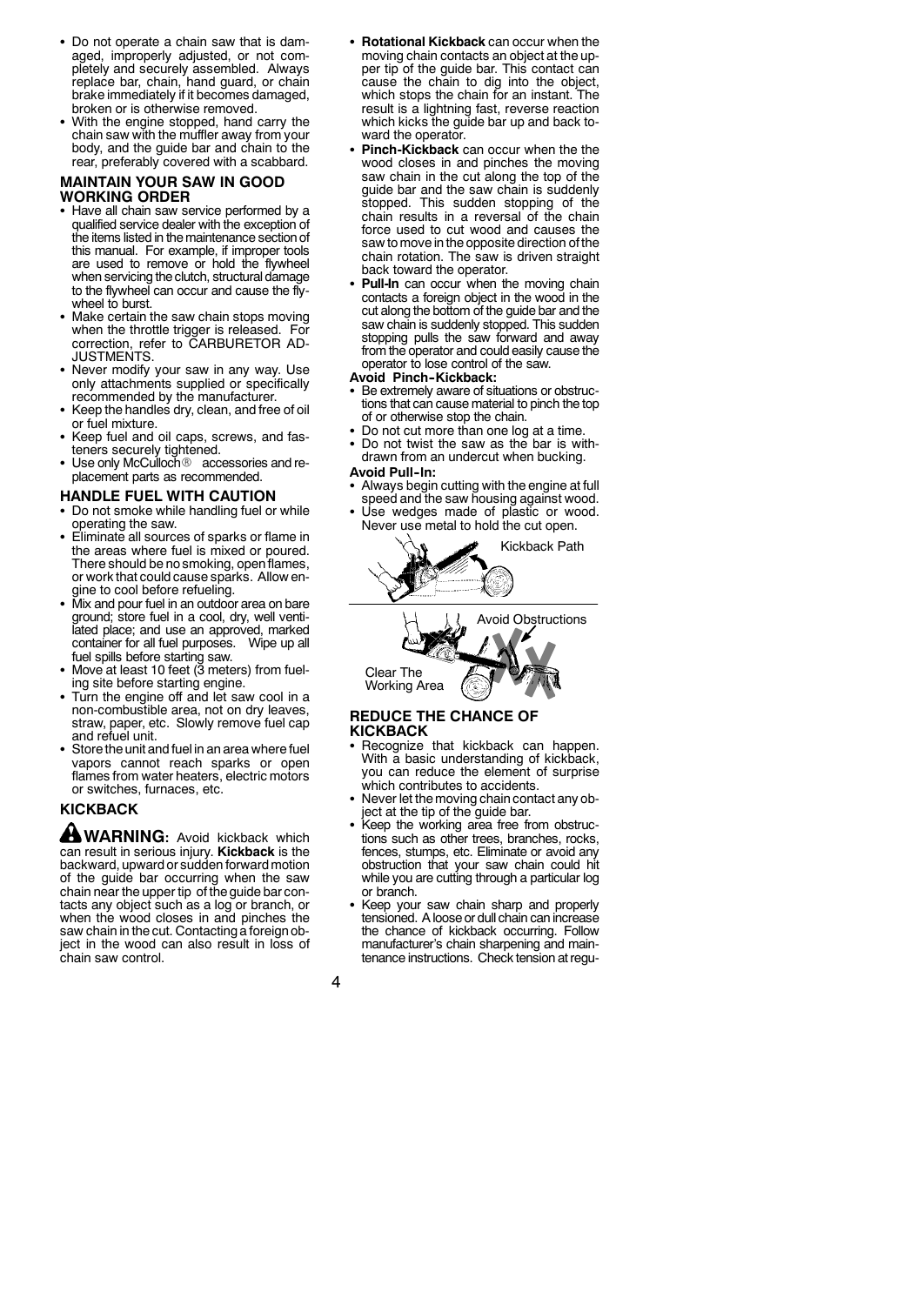- Do not operate a chain saw that is damaged, improperly adjusted, or not completely and securely assembled. Always replace bar, chain, hand guard, or chain brake immediately if it becomes damaged, broken or is otherwise removed.
- With the engine stopped, hand carry the chain saw with the muffler away from your body, and the guide bar and chain to the rear, preferably covered with a scabbard.

### **MAINTAIN YOUR SAW IN GOOD WORKING ORDER**

- Have all chain saw service performed by a qualified service dealer with the exception of the items listed in the maintenance section of this manual. For example, if improper tools are used to remove or hold the flywheel when servicing the clutch, structural damage to the flywheel can occur and cause the flywheel to burst.
- Make certain the saw chain stops moving when the throttle trigger is released. For correction, refer to CARBURETOR AD-JUSTMENTS.
- Never modify your saw in any way. Use only attachments supplied or specifically recommended by the manufacturer.
- Keep the handles dry, clean, and free of oil or fuel mixture.
- Keep fuel and oil caps, screws, and fas-<br>teners securely tightened.
- Use only McCulloch<sup>®</sup> accessories and replacement parts as recommended.

### **HANDLE FUEL WITH CAUTION**

- Do not smoke while handling fuel or while operating the saw.
- Eliminate all sources of sparks or flame in the areas where fuel is mixed or poured. There should be no smoking, openflames, or work that could cause sparks. Allow engine to cool before refueling.
- Mix and pour fuel in an outdoor area on bare ground; store fuel in a cool, dry, well ventilated place; and use an approved, marked<br>container for all fuel purposes. Wipe up all container for all fuel purposes.
- fuel spills before starting saw. S Move at least 10 feet (3 meters) from fueling site before starting engine.
- Turn the engine off and let saw cool in a non-combustible area, not on dry leaves, straw, paper, etc. Slowly remove fuel cap and refuel unit.
- Store the unit and fuel in an area where fuel vapors cannot reach sparks or open flames from water heaters, electric motors or switches, furnaces, etc.

## **KICKBACK**

**WARNING:** Avoid kickback which can result in serious injury. **Kickback** is the backward, upward or sudden forward motion of the guide bar occurring when the saw chain near the upper tip of the guide bar contacts any object such as a log or branch, or when the wood closes in and pinches the saw chain in the cut. Contacting a foreign object in the wood can also result in loss of chain saw control.

- **Rotational Kickback** can occur when the moving chain contacts an object at the upper tip of the guide bar. This contact can cause the chain to dig into the object, which stops the chain for an instant. The result is a lightning fast, reverse reaction which kicks the guide bar up and back toward the operator.
- Pinch-Kickback can occur when the the wood closes in and pinches the moving saw chain in the cut along the top of the guide bar and the saw chain is suddenly stopped. This sudden stopping of the chain results in a reversal of the chain force used to cut wood and causes the saw to move in the opposite direction of the chain rotation. The saw is driven straight back toward the operator.
- Pull-In can occur when the moving chain contacts a foreign object in the wood in the cut along the bottom of the guide bar and the saw chain is suddenly stopped. This sudden stopping pulls the saw forward and away from the operator and could easily cause the operator to lose control of the saw.

### **Avoid Pinch--Kickback:**

- Be extremely aware of situations or obstructions that can cause material to pinch the top of or otherwise stop the chain.
- Do not cut more than one log at a time.
- Do not twist the saw as the bar is withdrawn from an undercut when bucking.

### **Avoid Pull--In:**

- Always begin cutting with the engine at full speed and the saw housing against wood.
- Use wedges made of plastic or wood. Never use metal to hold the cut open.





### **REDUCE THE CHANCE OF KICKBACK**

- Recognize that kickback can happen. With a basic understanding of kickback, you can reduce the element of surprise which contributes to accidents.
- Never let the moving chain contact any object at the tip of the guide bar.
- Keep the working area free from obstructions such as other trees, branches, rocks, fences, stumps, etc. Eliminate or avoid any obstruction that your saw chain could hit while you are cutting through a particular log or branch.
- Keep your saw chain sharp and properly tensioned. A loose or dull chain can increase the chance of kickback occurring. Follow manufacturer's chain sharpening and maintenance instructions. Check tension at regu-

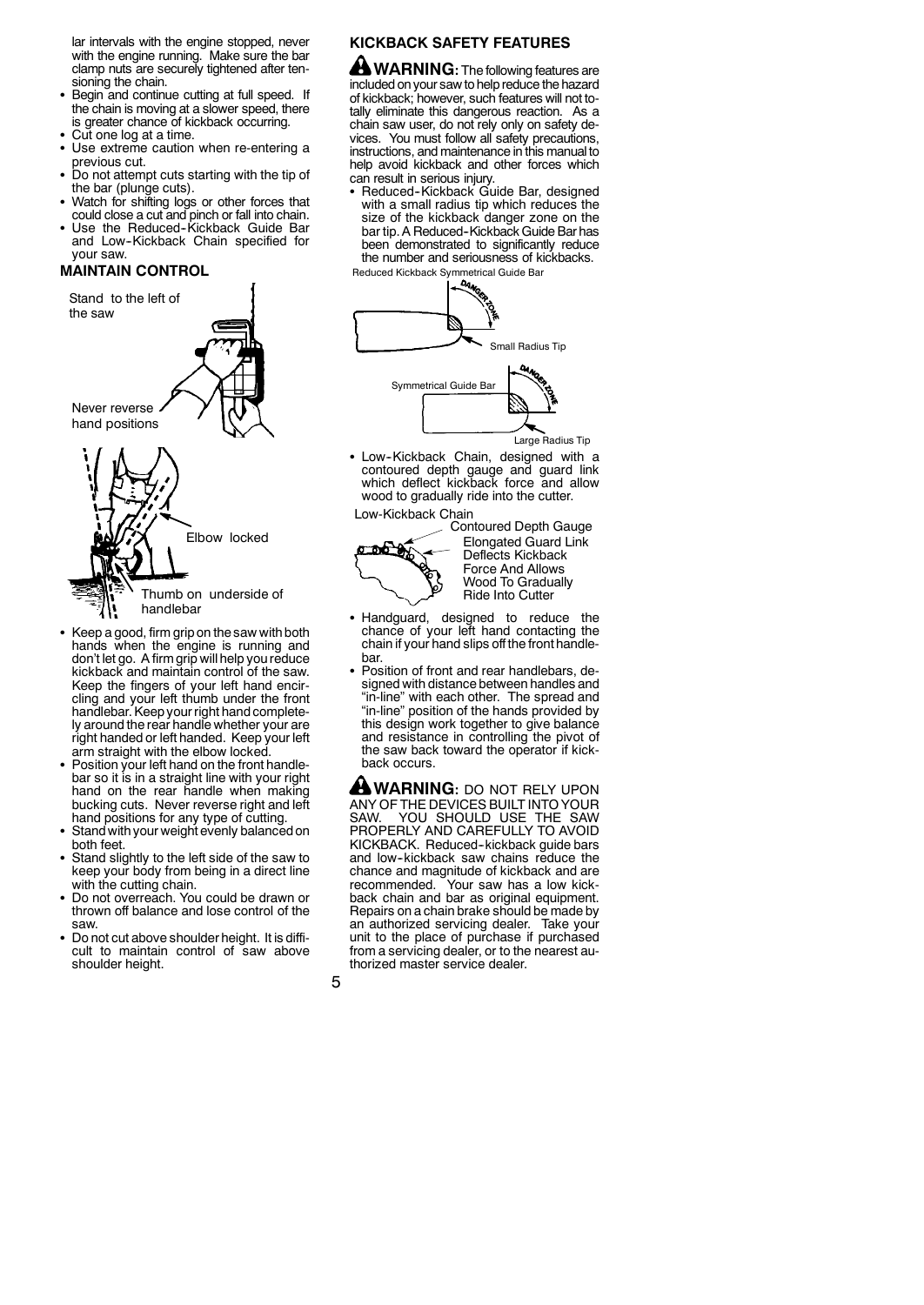lar intervals with the engine stopped, never with the engine running. Make sure the bar clamp nuts are securely tightened after tensioning the chain.

- **Begin and continue cutting at full speed. If the chain is moving at a slower speed, there** is greater chance of kickback occurring.
- Cut one log at a time.
- Use extreme caution when re-entering a previous cut.
- Do not attempt cuts starting with the tip of the bar (plunge cuts).
- S Watch for shifting logs or other forces that could close a cut and pinch or fall into chain.
- Use the Reduced-Kickback Guide Bar and Low-Kickback Chain specified for your saw.

## **MAINTAIN CONTROL**



- S Keep a good, firm grip on the saw with both hands when the engine is running and don't let go. A firm grip will help you reduce kickback and maintain control of the saw. Keep the fingers of your left hand encircling and your left thumb under the front handlebar. Keep your right hand completely around the rear handle whether your are right handed or left handed. Keep your left arm straight with the elbow locked.
- Position your left hand on the front handlebar so it is in a straight line with your right hand on the rear handle when making bucking cuts. Never reverse right and left hand positions for any type of cutting. S Stand with your weight evenly balanced on
- both feet.
- Stand slightly to the left side of the saw to keep your body from being in a direct line with the cutting chain.
- Do not overreach. You could be drawn or thrown off balance and lose control of the saw.
- Do not cut above shoulder height. It is difficult to maintain control of saw above shoulder height.

## **KICKBACK SAFETY FEATURES**

**WARNING:** The following features are included on your saw to help reduce the hazard of kickback; however, such features will not totally eliminate this dangerous reaction. As a chain saw user, do not rely only on safety devices. You must follow all safety precautions, instructions, and maintenance in this manualto help avoid kickback and other forces which can result in serious injury.

• Reduced-Kickback Guide Bar, designed with a small radius tip which reduces the size of the kickback danger zone on the bar tip. A Reduced-Kickback Guide Bar has been demonstrated to significantly reduce the number and seriousness of kickbacks.



Large Radius Tip

• Low-Kickback Chain, designed with a contoured depth gauge and guard link which deflect kickback force and allow wood to gradually ride into the cutter.

Low-Kickback Chain



Contoured Depth Gauge Elongated Guard Link Deflects Kickback Force And Allows Wood To Gradually Ride Into Cutter

- Handguard, designed to reduce the chance of your left hand contacting the chain if your hand slips off the front handlebar.
- Position of front and rear handlebars, designed with distance between handles and "in-line" with each other. The spread and "in-line" position of the hands provided by this design work together to give balance and resistance in controlling the pivot of the saw back toward the operator if kickback occurs.

**WARNING: DO NOT RELY UPON** ANY OF THE DEVICES BUILT INTO YOUR SAW. YOU SHOULD USE THE SAW PROPERLY AND CAREFULLY TO AVOID KICKBACK. Reduced-kickback guide bars<br>and low-kickback saw chains reduce the chance and magnitude of kickback and are Your saw has a low kickback chain and bar as original equipment. Repairs on a chain brake should be made by an authorized servicing dealer. Take your unit to the place of purchase if purchased from a servicing dealer, or to the nearest authorized master service dealer.

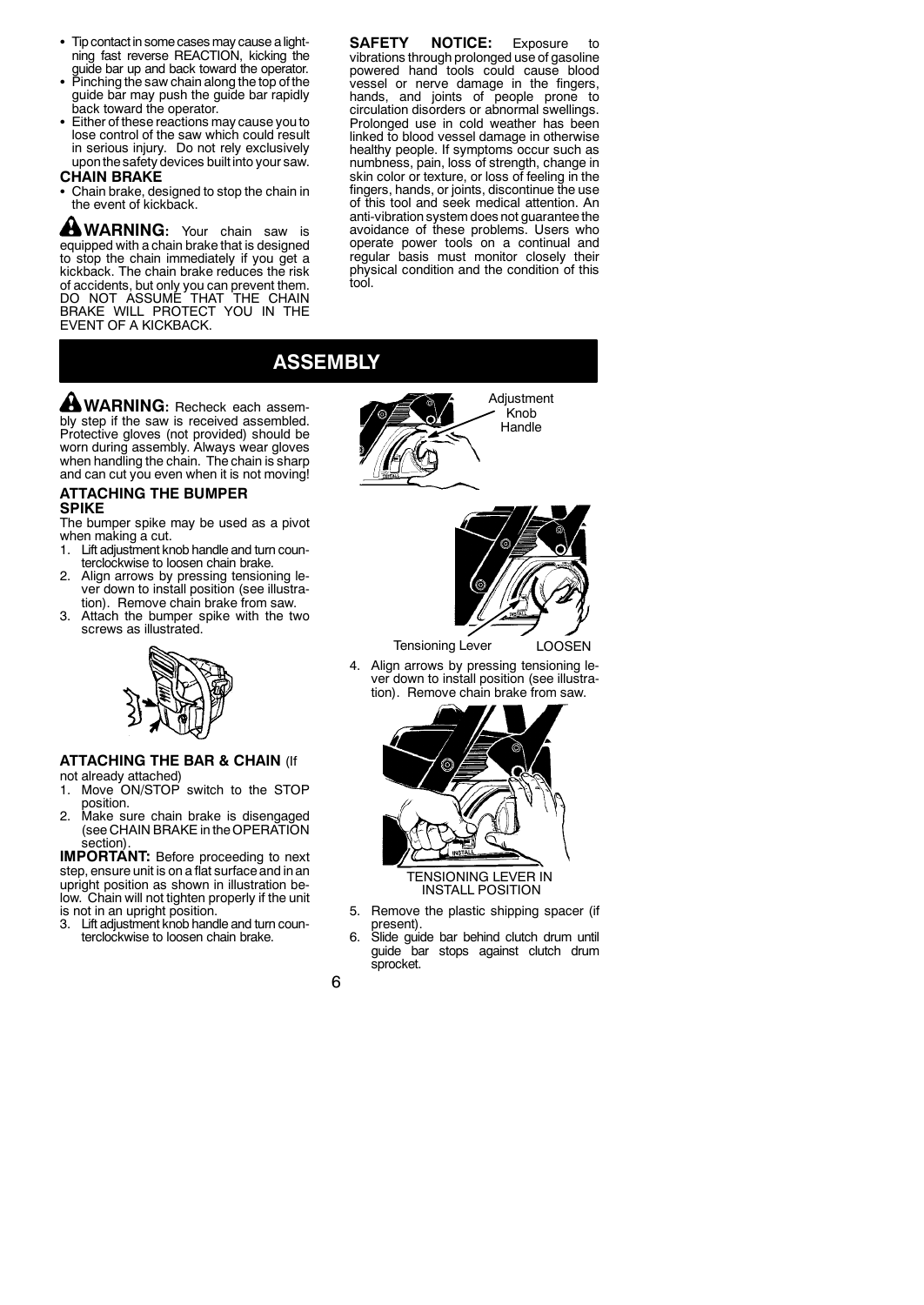- Tip contact in some cases may cause a lightning fast reverse REACTION, kicking the guide bar up and back toward the operator.
- $\bullet$  Pinching the saw chain along the top of the guide bar may push the guide bar rapidly back toward the operator.
- Either of these reactions may cause you to lose control of the saw which could result in serious injury. Do not rely exclusively uponthe safety devices built into your saw.

### **CHAIN BRAKE**

Chain brake, designed to stop the chain in the event of kickback.

**WARNING:** Your chain saw is equipped with a chain brake that is designed to stop the chain immediately if you get a kickback. The chain brake reduces the risk of accidents, but only you can prevent them. DO NOT ASSUME THAT THE CHAIN BRAKE WILL PROTECT YOU IN THE EVENT OF A KICKBACK.

**SAFETY NOTICE:** Exposure to vibrations through prolonged use of gasoline powered hand tools could cause blood vessel or nerve damage in the fingers, hands, and joints of people prone to circulation disorders or abnormal swellings. Prolonged use in cold weather has been linked to blood vessel damage in otherwise healthy people. If symptoms occur such as numbness, pain, loss of strength, change in skin color or texture, or loss of feeling in the fingers, hands, or joints, discontinue the use of this tool and seek medical attention. An anti-vibration system does not guarantee the avoidance of these problems. Users who operate power tools on a continual and regular basis must monitor closely their physical condition and the condition of this tool.

# **ASSEMBLY**

**WARNING:** Recheck each assembly step if the saw is received assembled. Protective gloves (not provided) should be worn during assembly. Always wear gloves when handling the chain. The chain is sharp and can cut you even when it is not moving!

### **ATTACHING THE BUMPER SPIKE**

The bumper spike may be used as a pivot when making a cut.

- 1. Lift adjustment knob handle and turn counterclockwise to loosen chain brake.
- 2. Align arrows by pressing tensioning lever down to install position (see illustration). Remove chain brake from saw.
- 3. Attach the bumper spike with the two screws as illustrated.



### **ATTACHING THE BAR & CHAIN** (If not already attached)

- 1. Move ON/STOP switch to the STOP position.
- 2. Make sure chain brake is disengaged (see CHAIN BRAKE in the OPERATION section).

**IMPORTANT:** Before proceeding to next step, ensure unit is on a flat surface and in an upright position as shown in illustration below. Chain will not tighten properly if the unit is not in an upright position.<br>3. Lift adjustment knob hand

Lift adjustment knob handle and turn counterclockwise to loosen chain brake.





Tensioning Lever LOOSEN

4. Align arrows by pressing tensioning lever down to install position (see illustration). Remove chain brake from saw.



- 5. Remove the plastic shipping spacer (if present).
- 6. Slide guide bar behind clutch drum until guide bar stops against clutch drum sprocket.

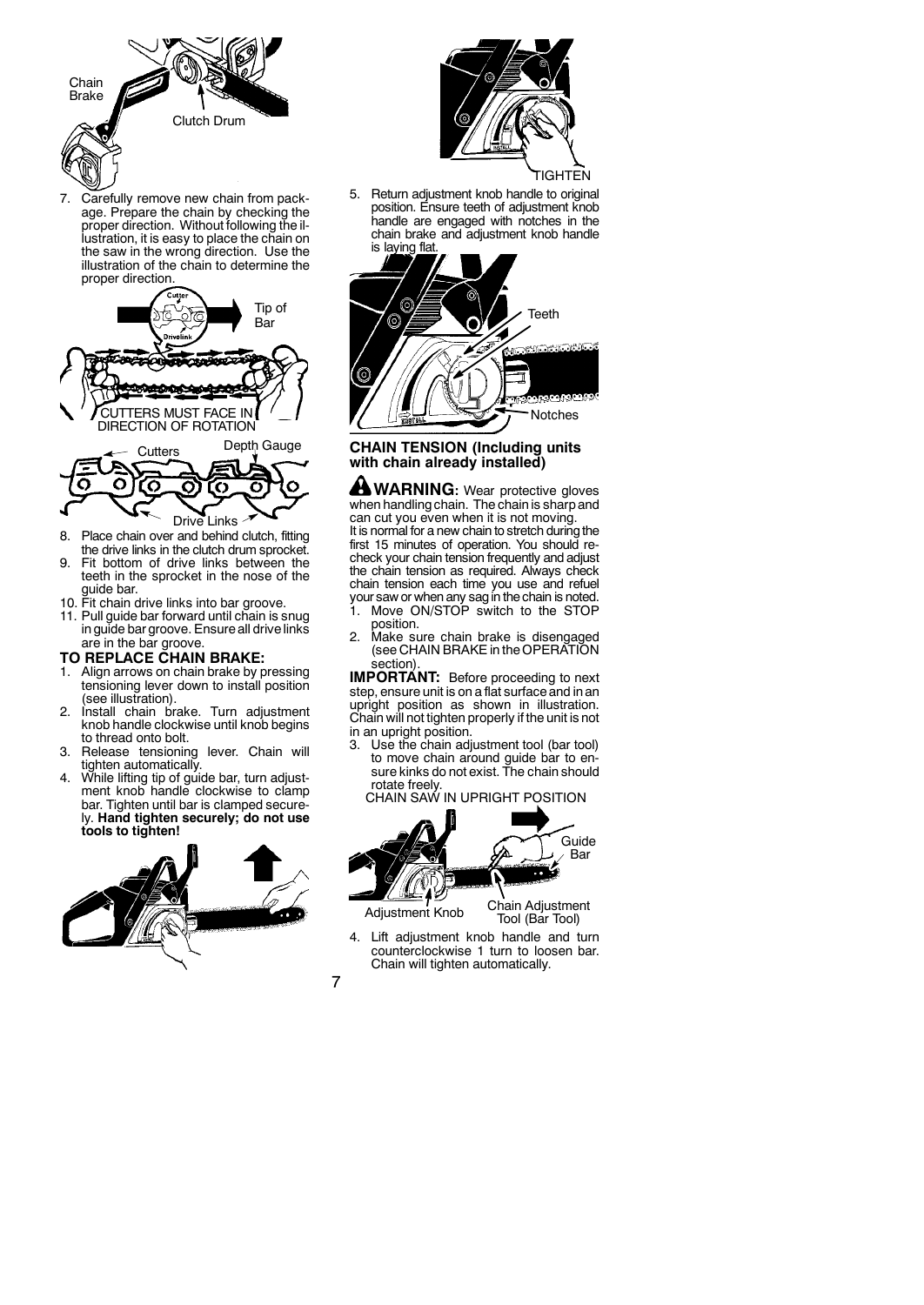

7. Carefully remove new chain from package. Prepare the chain by checking the proper direction. Without following the illustration, it is easy to place the chain on the saw in the wrong direction. Use the illustration of the chain to determine the proper direction.



- 8. Place chain over and behind clutch, fitting the drive links in the clutch drum sprocket.
- 9. Fit bottom of drive links between the teeth in the sprocket in the nose of the guide bar.
- 10. Fit chain drive links into bar groove.
- 11. Pull guide bar forward until chain is snug in guide bar groove. Ensure all drive links are in the bar groove.

### **TO REPLACE CHAIN BRAKE:**

- 1. Align arrows on chain brake by pressing tensioning lever down to install position (see illustration).
- 2. Install chain brake. Turn adjustment knob handle clockwise until knob begins to thread onto bolt.
- 3. Release tensioning lever. Chain will tighten automatically.
- While lifting tip of guide bar, turn adjustment knob handle clockwise to clamp bar. Tighten until bar is clamped securely. **Hand tighten securely; do not use tools to tighten!**





### TIGHTEN

5. Return adjustment knob handle to original position. Ensure teeth of adjustment knob handle are engaged with notches in the chain brake and adjustment knob handle is laying flat



### **CHAIN TENSION (Including units with chain already installed)**

**WARNING:** Wear protective gloves when handling chain. The chain is sharp and can cut you even when it is not moving. It is normal for a new chain to stretch during the first 15 minutes of operation. You should recheck your chain tension frequently and adjust the chain tension as required. Always check chain tension each time you use and refuel your saw or when any sag in the chain is noted.

- 1. Move ON/STOP switch to the STOP position.
- 2. Make sure chain brake is disengaged (see CHAIN BRAKE in the OPERATION section).

**IMPORTÁNT:** Before proceeding to next step, ensure unit is on a flat surface and in an upright position as shown in illustration. Chain will not tighten properly if the unit is not

in an upright position. 3. Use the chain adjustment tool (bar tool) to move chain around guide bar to en-sure kinks do not exist. The chain should rotate freely.

CHAIN SAW IN UPRIGHT POSITION



Tool (Bar Tool)

4. Lift adjustment knob handle and turn counterclockwise 1 turn to loosen bar. Chain will tighten automatically.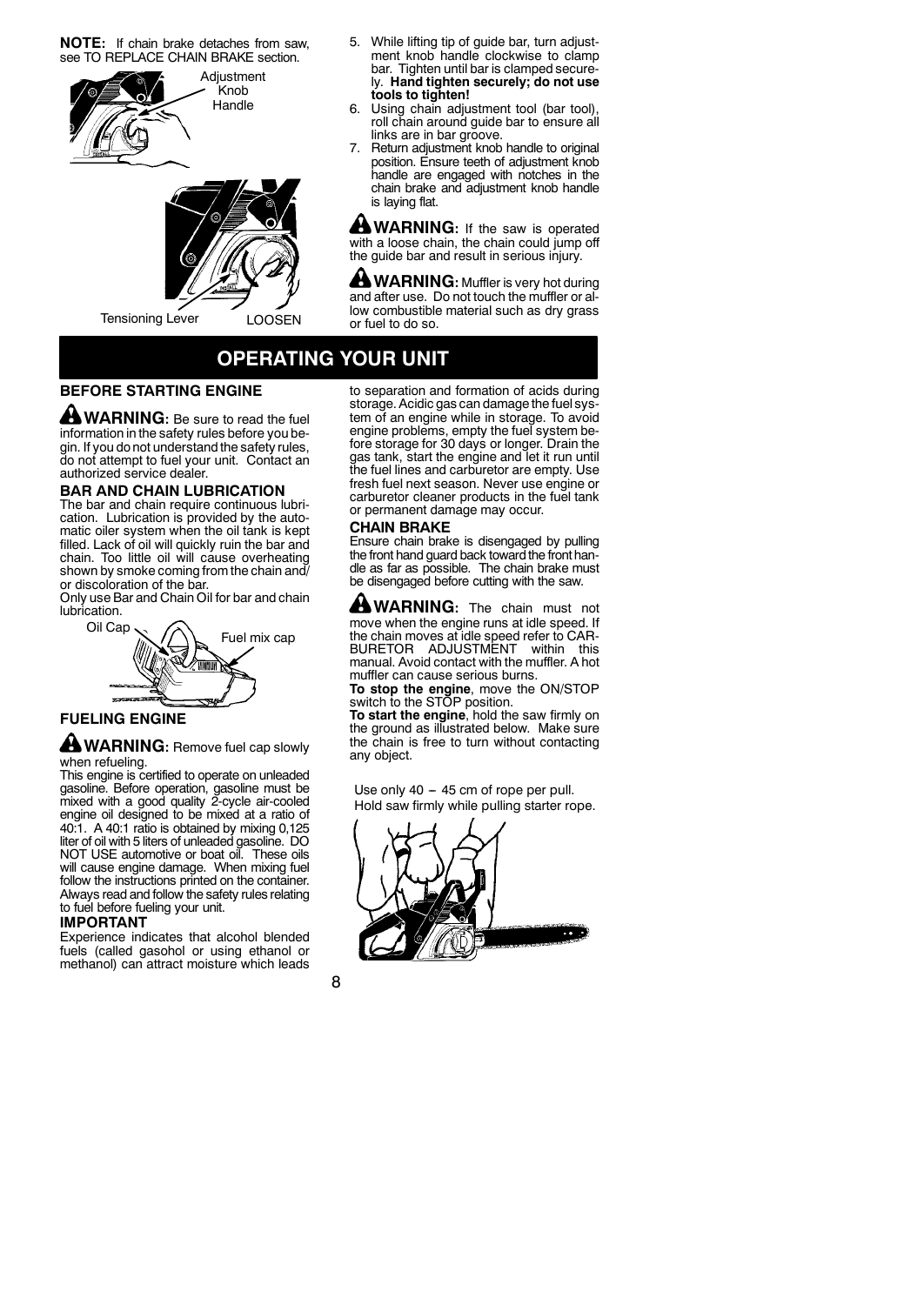**NOTE:** If chain brake detaches from saw, see TO REPLACE CHAIN BRAKE section.





Tensioning Lever LOOSEN

- 5. While lifting tip of guide bar, turn adjustment knob handle clockwise to clamp bar. Tighten until bar is clamped securely. **Hand tighten securely; do not use tools to tighten!**
- 6. Using chain adjustment tool (bar tool), roll chain around guide bar to ensure all links are in bar groove.
- 7. Return adjustment knob handle to original position. Ensure teeth of adjustment knob handle are engaged with notches in the chain brake and adjustment knob handle is laying flat.

**WARNING:** If the saw is operated with a loose chain, the chain could jump off the guide bar and result in serious injury.

**WARNING:** Muffler is very hot during and after use. Do not touch the muffler or allow combustible material such as dry grass or fuel to do so.

# **OPERATING YOUR UNIT**

## **BEFORE STARTING ENGINE**

**WARNING:** Be sure to read the fuel information in the safety rules before you begin. If you do not understand the safety rules, do not attempt to fuel your unit. Contact an authorized service dealer.

### **BAR AND CHAIN LUBRICATION**

The bar and chain require continuous lubrication. Lubrication is provided by the automatic oiler system when the oil tank is kept filled. Lack of oil will quickly ruin the bar and chain. Too little oil will cause overheating shown by smoke coming from the chain and/ or discoloration of the bar.

Only use Bar and Chain Oil for bar and chain lubrication.



# **FUELING ENGINE**

### **A WARNING:** Remove fuel cap slowly when refueling.

This engine is certified to operate on unleaded gasoline. Before operation, gasoline must be mixed with a good quality 2-cycle air-cooled engine oil designed to be mixed at a ratio of 40:1. A 40:1 ratio is obtained by mixing 0,125 liter of oil with 5 liters of unleaded gasoline. DO NOT USE automotive or boat oil. These oils will cause engine damage. When mixing fuel follow the instructions printed on the container. Always read and follow the safety rules relating to fuel before fueling your unit.

### **IMPORTANT**

Experience indicates that alcohol blended fuels (called gasohol or using ethanol or methanol) can attract moisture which leads to separation and formation of acids during storage. Acidic gas can damage the fuel system of an engine while in storage. To avoid engine problems, empty the fuel system before storage for 30 days or longer. Drain the gas tank, start the engine and let it run until the fuel lines and carburetor are empty. Use fresh fuel next season. Never use engine or carburetor cleaner products in the fuel tank or permanent damage may occur.

#### **CHAIN BRAKE**

Ensure chain brake is disengaged by pulling the front hand guard back toward the front handle as far as possible. The chain brake must be disengaged before cutting with the saw.

**WARNING:** The chain must not move when the engine runs at idle speed. If the chain moves at idle speed refer to CAR-BURETOR ADJUSTMENT within this manual. Avoid contact with the muffler. A hot muffler can cause serious burns.

**To stop the engine**, move the ON/STOP switch to the STOP position.

**To start the engine**, hold the saw firmly on the ground as illustrated below. Make sure the chain is free to turn without contacting any object.

Hold saw firmly while pulling starter rope. Use only  $40 - 45$  cm of rope per pull.



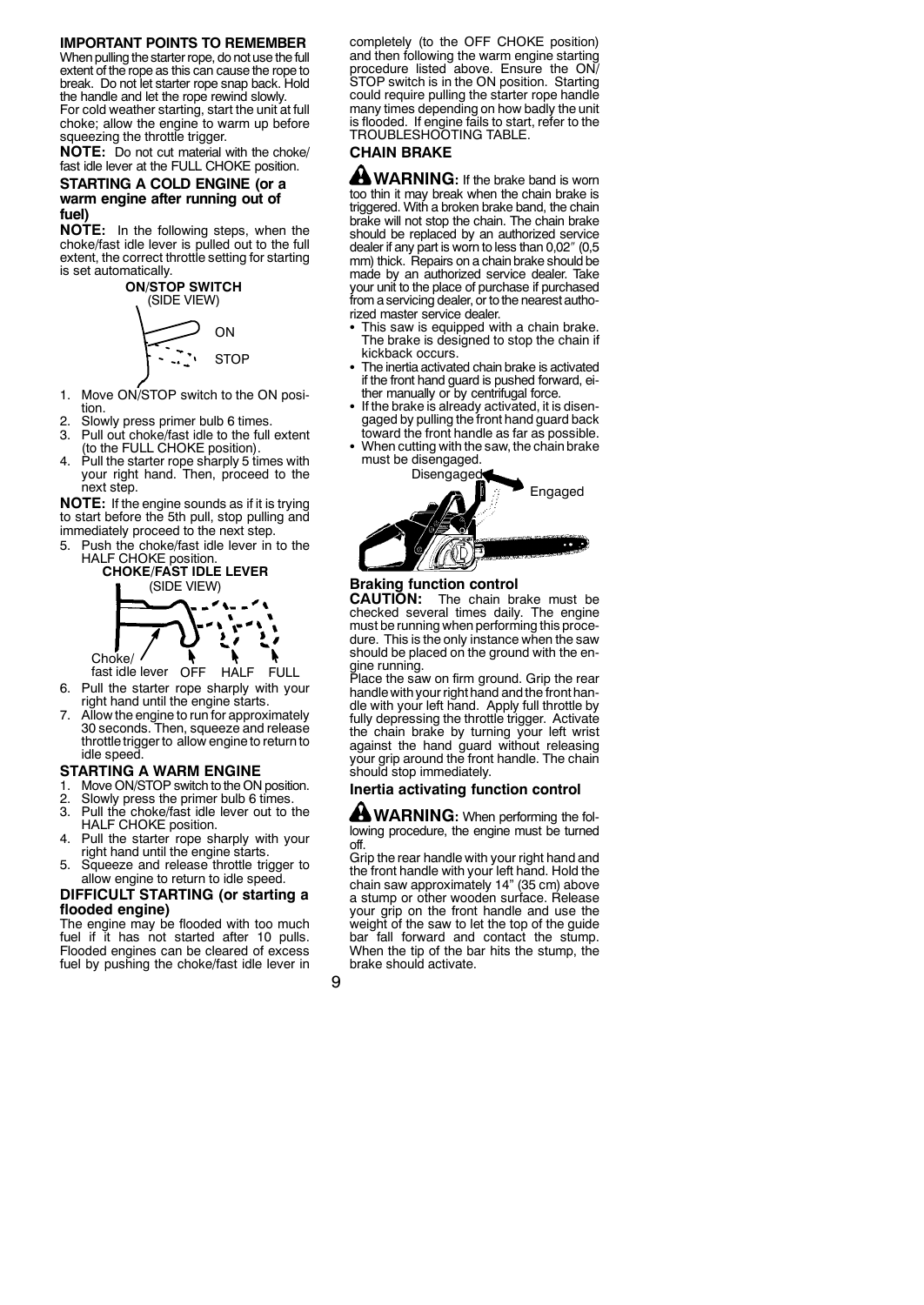### **IMPORTANT POINTS TO REMEMBER**

When pulling the starter rope, do not use the full extent of the rope as this can cause the rope to break. Do not let starter rope snap back. Hold the handle and let the rope rewind slowly. For cold weather starting, start the unit at full choke; allow the engine to warm up before squeezing the throttle trigger.

**NOTE:** Do not cut material with the choke/ fast idle lever at the FULL CHOKE position.

### **STARTING A COLD ENGINE (or a warm engine after running out of fuel)**

**NOTE:** In the following steps, when the choke/fast idle lever is pulled out to the full extent, the correct throttle setting for starting is set automatically.



- 1. Move ON/STOP switch to the ON position.
- 2. Slowly press primer bulb 6 times.<br>3. Pull out choke/fast idle to the full
- Pull out choke/fast idle to the full extent (to the FULL CHOKE position).
- Pull the starter rope sharply 5 times with your right hand. Then, proceed to the next step.

**NOTE:** If the engine sounds as if it is trying to start before the 5th pull, stop pulling and immediately proceed to the next step.

5. Push the choke/fast idle lever in to the HALF CHOKE position. **CHOKE/FAST IDLE LEVER**



**HALF** fast idle lever FULL 6. Pull the starter rope sharply with your right hand until the engine starts.

7. Allow the engine to run for approximately 30 seconds. Then, squeeze and release throttle trigger to allow engine to return to idle speed.

### **STARTING A WARM ENGINE**

- 1. Move ON/STOP switch to the ON position.
- 2. Slowly press the primer bulb 6 times.<br>3. Pull the choke/fast idle lever out to
- Pull the choke/fast idle lever out to the HALF CHOKE position.
- 4. Pull the starter rope sharply with your right hand until the engine starts.
- 5. Squeeze and release throttle trigger to allow engine to return to idle speed.

### **DIFFICULT STARTING (or starting a flooded engine)**

The engine may be flooded with too much fuel if it has not started after 10 pulls. Flooded engines can be cleared of excess fuel by pushing the choke/fast idle lever in completely (to the OFF CHOKE position) and then following the warm engine starting procedure listed above. Ensure the ON/ STOP switch is in the ON position. Starting could require pulling the starter rope handle many times depending on how badly the unit is flooded. If engine fails to start, refer to the TROUBLESHOOTING TABLE.

## **CHAIN BRAKE**

**WARNING:** If the brake band is worn too thin it may break when the chain brake is triggered. With a broken brake band, the chain brake will not stop the chain. The chain brake should be replaced by an authorized service dealer if any part is worn to less than 0,02″ (0,5 mm) thick. Repairs on a chain brake should be made by an authorized service dealer. Take your unit to the place of purchase if purchased from a servicing dealer, or to the nearest authorized master service dealer.

- This saw is equipped with a chain brake. The brake is designed to stop the chain if kickback occurs.
- The inertia activated chain brake is activated if the front hand guard is pushed forward, either manually or by centrifugal force.
- If the brake is already activated, it is disengaged by pulling the front hand guard back toward the front handle as far as possible.
- When cutting with the saw, the chain brake must be disengaged.





# **Braking function control CAUTION:** The chain br

The chain brake must be checked several times daily. The engine must be running when performing this procedure. This is the only instance when the saw should be placed on the ground with the en-

gine running. Place the saw on firm ground. Grip the rear handle with your right hand andthe front handle with your left hand. Apply full throttle by fully depressing the throttle trigger. Activate the chain brake by turning your left wrist against the hand guard without releasing your grip around the front handle. The chain should stop immediately.

### **Inertia activating function control**

**WARNING:** When performing the following procedure, the engine must be turned off.

Grip the rear handle with your right hand and the front handle with your left hand. Hold the chain saw approximately 14" (35 cm) above a stump or other wooden surface. Release your grip on the front handle and use the weight of the saw to let the top of the guide bar fall forward and contact the stump. When the tip of the bar hits the stump, the brake should activate.

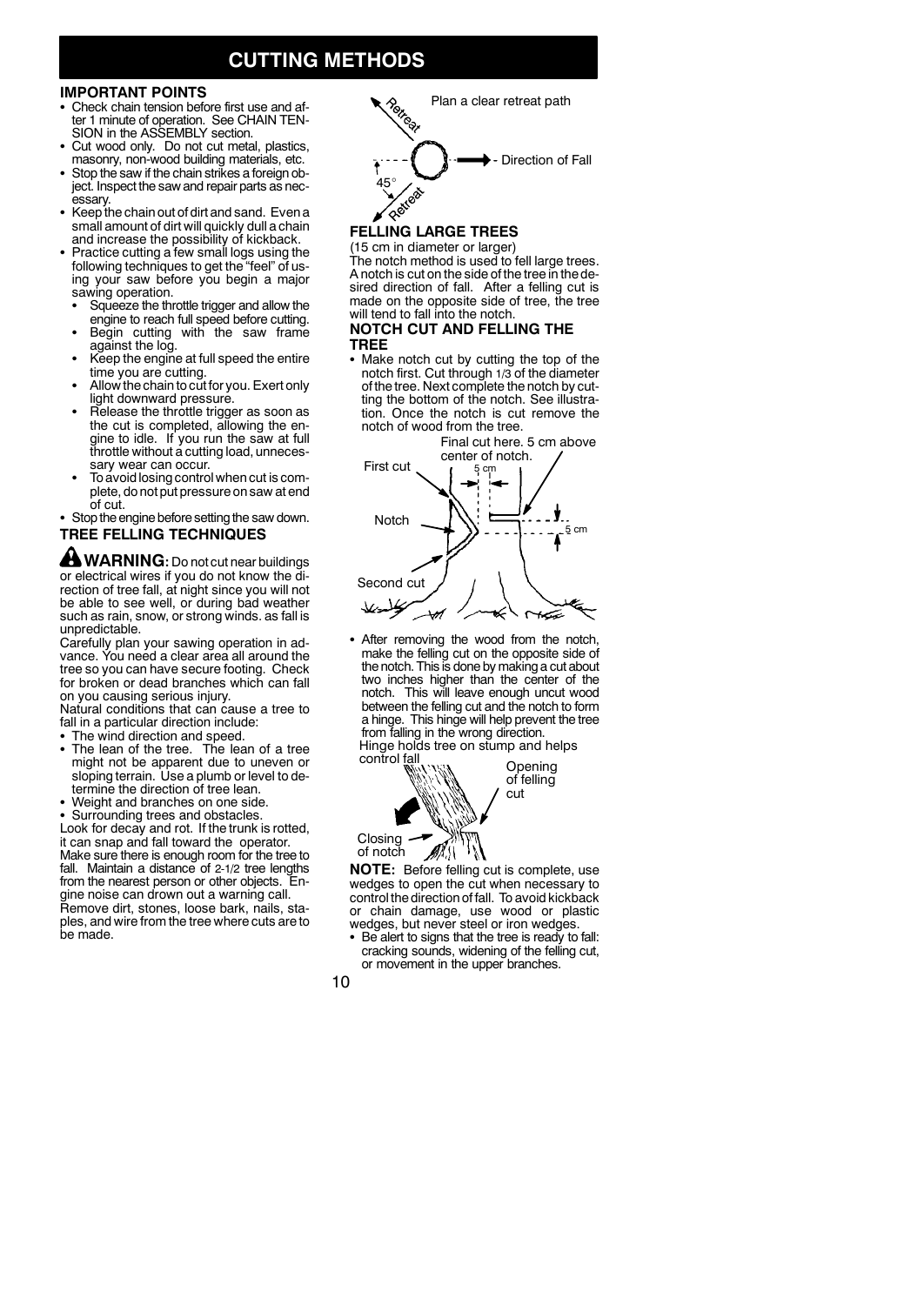# **CUTTING METHODS**

## **IMPORTANT POINTS**

- Check chain tension before first use and after 1 minute of operation. See CHAIN TEN-SION in the ASSEMBLY section.
- Cut wood only. Do not cut metal, plastics, masonry, non-wood building materials, etc.
- Stop the saw if the chain strikes a foreign object. Inspect the saw and repair parts as necessary.
- Keep the chain out of dirt and sand. Even a small amount of dirt will quickly dull a chain and increase the possibility of kickback.
- Practice cutting a few small logs using the following techniques to get the "feel" of us-ing your saw before you begin a major sawing operation.
- Squeeze the throttle trigger and allow the engine to reach full speed before cutting.
- Begin cutting with the saw frame against the log.
- Keep the engine at full speed the entire<br>time you are cutting.
- Allow the chain to cut for you. Exert only light downward pressure.
- Release the throttle trigger as soon as the cut is completed, allowing the engine to idle. If you run the saw at full throttle without a cutting load, unneces-<br>sary wear can occur.
- To avoid losing control when cut is complete, do not put pressure on saw at end

### • Stop the engine before setting the saw down. **TREE FELLING TECHNIQUES**

**<sup>4</sup>** WARNING: Do not cut near buildings or electrical wires if you do not know the direction of tree fall, at night since you will not be able to see well, or during bad weather such as rain, snow, or strong winds. as fall is unpredictable.

Carefully plan your sawing operation in advance. You need a clear area all around the tree so you can have secure footing. Check for broken or dead branches which can fall on you causing serious injury.

Natural conditions that can cause a tree to fall in a particular direction include:

- 
- S The wind direction and speed. S The lean of the tree. The lean of a tree might not be apparent due to uneven or sloping terrain. Use a plumb or level to determine the direction of tree lean.
- Weight and branches on one side.
- Surrounding trees and obstacles.

Look for decay and rot. If the trunk is rotted, it can snap and fall toward the operator. Make sure there is enough room for the tree to fall. Maintain a distance of 2-1/2 tree lengths from the nearest person or other objects. Engine noise can drown out a warning call. Remove dirt, stones, loose bark, nails, staples, and wire from the tree where cuts are to be made.



# **FELLING LARGE TREES**

(15 cm in diameter or larger) The notch method is used to fell large trees. A notch is cut on the side of the tree in the de-sired direction of fall. After a felling cut is made on the opposite side of tree, the tree will tend to fall into the notch.

### **NOTCH CUT AND FELLING THE TREE**

• Make notch cut by cutting the top of the notch first. Cut through 1/3 of the diameter of the tree. Next complete the notch by cutting the bottom of the notch. See illustration. Once the notch is cut remove the notch of wood from the tree.



• After removing the wood from the notch, make the felling cut on the opposite side of the notch. This is done by making a cut about two inches higher than the center of the notch. This will leave enough uncut wood between the felling cut and the notch to form a hinge. This hinge will help prevent the tree from falling in the wrong direction. Hinge holds tree on stump and helps



**NOTE:** Before felling cut is complete, use wedges to open the cut when necessary to control the direction of fall. To avoid kickback or chain damage, use wood or plastic wedges, but never steel or iron wedges.

Be alert to signs that the tree is ready to fall: cracking sounds, widening of the felling cut, or movement in the upper branches.

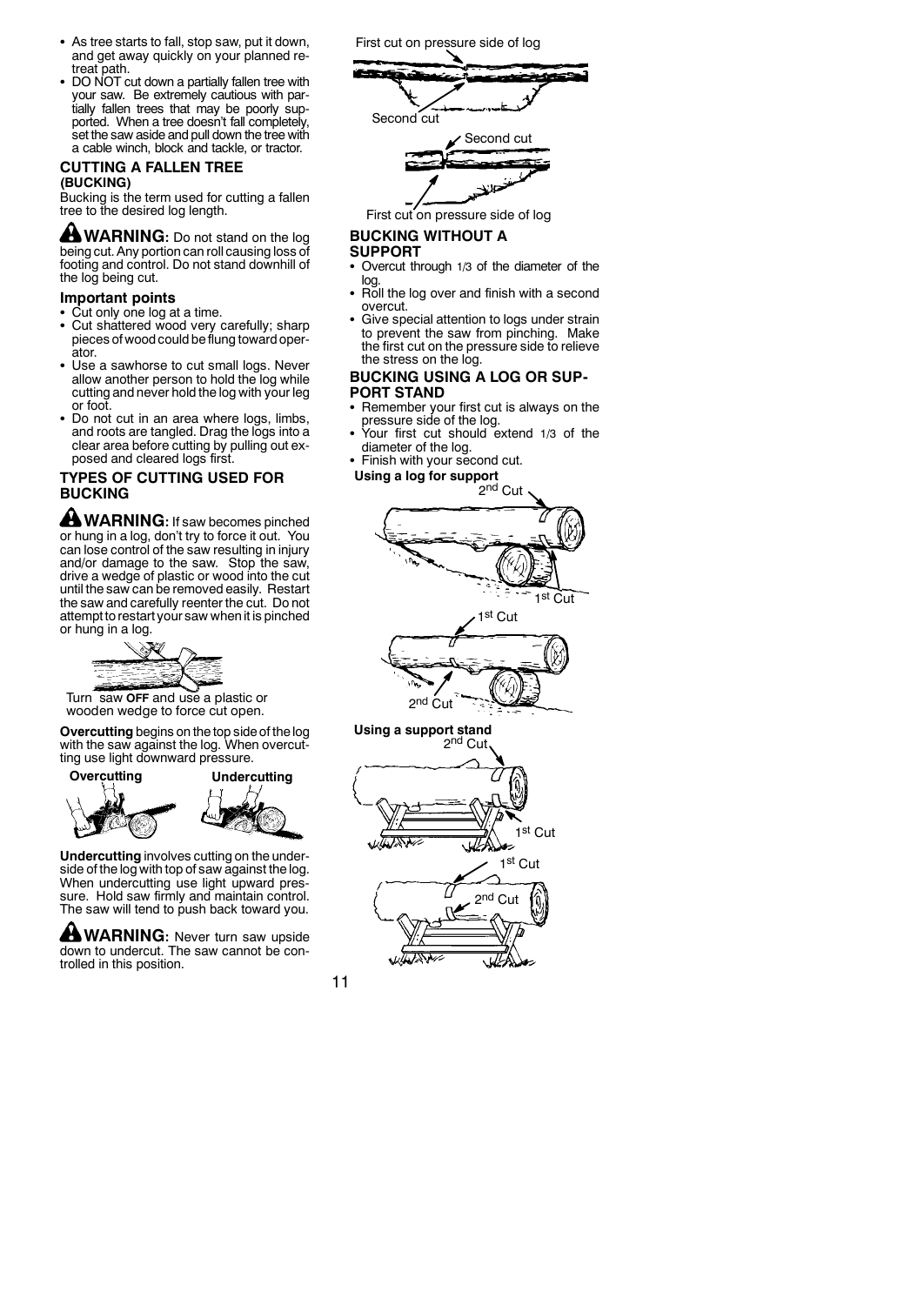- As tree starts to fall, stop saw, put it down, and get away quickly on your planned retreat path.
- DO NOT cut down a partially fallen tree with your saw. Be extremely cautious with par-tially fallen trees that may be poorly supported. When a tree doesn't fall completely, set the saw aside and pull down the tree with a cable winch, block and tackle, or tractor.

### **CUTTING A FALLEN TREE (BUCKING)**

Bucking is the term used for cutting a fallen tree to the desired log length.

**WARNING:** Do not stand on the log being cut. Any portion can roll causing loss of footing and control. Do not stand downhill of the log being cut.

**Important points**

• Cut only one log at a time.

- Cut shattered wood very carefully; sharp pieces of wood could beflung toward operator.
- Use a sawhorse to cut small logs. Never allow another person to hold the log while cutting and never hold the log with your leg or foot.
- Do not cut in an area where logs, limbs, and roots are tangled. Drag the logs into a clear area before cutting by pulling out exposed and cleared logs first.

## **TYPES OF CUTTING USED FOR BUCKING**

 $\triangle$  WARNING: If saw becomes pinched or hung in a log, don't try to force it out. You can lose control of the saw resulting in injury and/or damage to the saw. Stop the saw, drive a wedge of plastic or wood into the cut until the saw can be removed easily. Restart the saw and carefully reenter the cut. Do not attempt to restart your saw when it is pinched or hung in a log.



Turn saw **OFF** and use a plastic or wooden wedge to force cut open.

**Overcutting** begins on the top side of the log with the saw against the log. When overcut-



**Undercutting** involves cutting on the underside of the log with top of saw against the log. When undercutting use light upward pressure. Hold saw firmly and maintain control. The saw will tend to push back toward you.

**WARNING:** Never turn saw upside down to undercut. The saw cannot be controlled in this position.

First cut on pressure side of log



First cut on pressure side of log

# **BUCKING WITHOUT A**

## **SUPPORT**

- Overcut through 1/3 of the diameter of the log.
- Roll the log over and finish with a second overcut.
- Give special attention to logs under strain to prevent the saw from pinching. Make the first cut on the pressure side to relieve the stress on the log.

### **BUCKING USING A LOG OR SUP-PORT STAND**

- Remember your first cut is always on the pressure side of the log.
- Your first cut should extend 1/3 of the diameter of the log.
- Finish with your second cut.
- **Using a log for support**





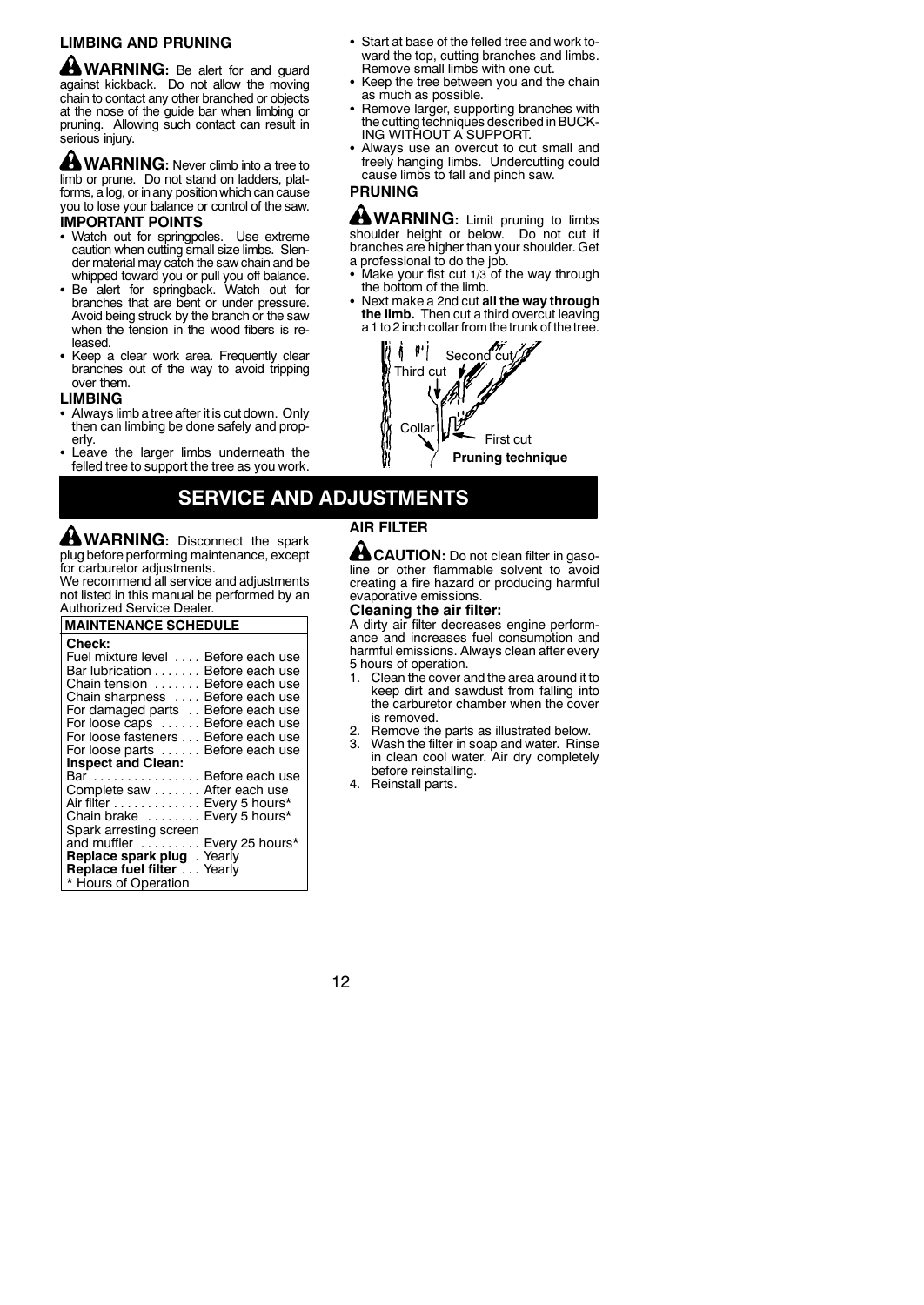## **LIMBING AND PRUNING**

**MARNING:** Be alert for and guard against kickback. Do not allow the moving chain to contact any other branched or objects at the nose of the guide bar when limbing or pruning. Allowing such contact can result in serious injury.

**WARNING:** Never climb into a tree to limb or prune. Do not stand on ladders, platforms, a log, or in any position which can cause you to lose your balance or control of the saw. **IMPORTANT POINTS**

- Watch out for springpoles. Use extreme caution when cutting small size limbs. Slender material may catch the saw chain and be whipped toward you or pull you off balance.
- Be alert for springback. Watch out for branches that are bent or under pressure. Avoid being struck by the branch or the saw when the tension in the wood fibers is released.
- Keep a clear work area. Frequently clear branches out of the way to avoid tripping over them.

#### **LIMBING**

- Always limb a tree after it is cut down. Only then can limbing be done safely and properly.
- Leave the larger limbs underneath the felled tree to support the tree as you work.
- Start at base of the felled tree and work toward the top, cutting branches and limbs. Remove small limbs with one cut.
- Keep the tree between you and the chain as much as possible.
- Remove larger, supporting branches with the cuttingtechniques described in BUCK-ING WITHOUT A SUPPORT.
- Always use an overcut to cut small and freely hanging limbs. Undercutting could cause limbs to fall and pinch saw.

## **PRUNING**

**WARNING:** Limit pruning to limbs shoulder height or below. Do not cut if branches are higher than your shoulder. Get a professional to do the job.

- Make your fist cut  $1/3$  of the way through the bottom of the limb.
- S Next make a 2nd cut **all the way through the limb.** Then cut a third overcut leaving a 1 to 2 inch collar from the trunk of the tree.



# **SERVICE AND ADJUSTMENTS**

**WARNING:** Disconnect the spark plug before performing maintenance, except for carburetor adjustments.

We recommend all service and adjustments not listed in this manual be performed by an Authorized Service Dealer.

| <b>MAINTENANCE SCHEDULE</b>                                                                                                                                                                                                                                                     |
|---------------------------------------------------------------------------------------------------------------------------------------------------------------------------------------------------------------------------------------------------------------------------------|
| Check:<br>Fuel mixture level  Before each use<br>Bar lubrication<br>Before each use<br>Chain tension<br>Before each use<br>Before each use<br>Chain sharpness<br>For damaged parts<br>Before each use<br>For loose caps  Before each use<br>For loose fasteners Before each use |
| For loose parts  Before each use                                                                                                                                                                                                                                                |
| <b>Inspect and Clean:</b>                                                                                                                                                                                                                                                       |
| Bar  Before each use<br>Complete saw After each use                                                                                                                                                                                                                             |
| Air filter Every 5 hours*                                                                                                                                                                                                                                                       |
| Chain brake  Every 5 hours*<br>Spark arresting screen                                                                                                                                                                                                                           |
| and muffler  Every 25 hours*                                                                                                                                                                                                                                                    |
| Replace spark plug. Yearly                                                                                                                                                                                                                                                      |
| Replace fuel filter Yearly<br>* Hours of Operation                                                                                                                                                                                                                              |

## **AIR FILTER**

**CAUTION:** Do not clean filter in gasoline or other flammable solvent to avoid creating a fire hazard or producing harmful evaporative emissions.

## **Cleaning the air filter:**

A dirty air filter decreases engine performance and increases fuel consumption and harmful emissions. Always clean after every 5 hours of operation.<br>1. Clean the cover a

- 1. Clean the cover and the area around it to keep dirt and sawdust from falling into the carburetor chamber when the cover is removed.
- Remove the parts as illustrated below. Wash the filter in soap and water. Rinse in clean cool water. Air dry completely before reinstalling.
- 4. Reinstall parts.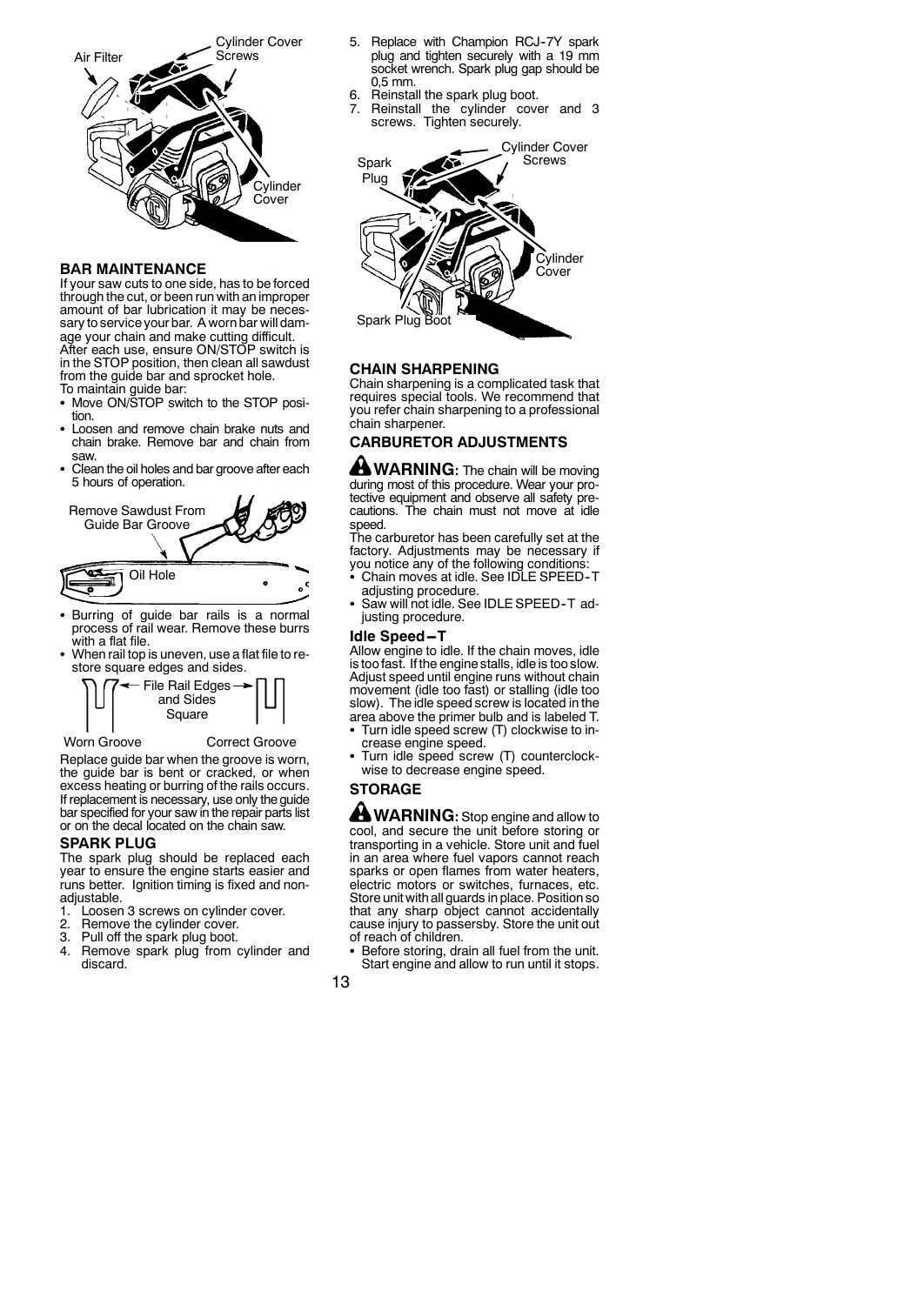

### **BAR MAINTENANCE**

If your saw cuts to one side, has to be forced through the cut, or been run with an improper amount of bar lubrication it may be necessary to service your bar. A worn bar will damage your chain and make cutting difficult. After each use, ensure ON/STOP switch is in the STOP position, then clean all sawdust from the guide bar and sprocket hole. To maintain guide bar:

- Move ON/STOP switch to the STOP position.
- Loosen and remove chain brake nuts and chain brake. Remove bar and chain from saw.
- Clean the oil holes and bar groove after each 5 hours of operation.



- Burring of guide bar rails is a normal process of rail wear. Remove these burrs with a flat file.
- When rail top is uneven, use a flat file to restore square edges and sides.



Worn Groove **Correct Groove** 

Replace guide bar when the groove is worn, the guide bar is bent or cracked, or when excess heating or burring of the rails occurs. If replacement is necessary, use only the guide bar specified for your saw in the repair parts list or on the decal located on the chain saw.

### **SPARK PLUG**

The spark plug should be replaced each year to ensure the engine starts easier and runs better. Ignition timing is fixed and nonadjustable.<br>1. I ooser

- Loosen 3 screws on cylinder cover.
- 
- 2. Remove the cylinder cover.<br>3. Pull off the spark plug boot. Pull off the spark plug boot.
- 4. Remove spark plug from cylinder and discard.
- 5. Replace with Champion RCJ-7Y spark plug and tighten securely with a 19 mm socket wrench. Spark plug gap should be 0,5 mm.
- 6. Reinstall the spark plug boot. 7. Reinstall the cylinder cover and 3
- screws. Tighten securely.



### **CHAIN SHARPENING**

Chain sharpening is a complicated task that requires special tools. We recommend that you refer chain sharpening to a professional chain sharpener.

# **CARBURETOR ADJUSTMENTS**

**WARNING:** The chain will be moving during most of this procedure. Wear your protective equipment and observe all safety precautions. The chain must not move at idle speed.

The carburetor has been carefully set at the factory. Adjustments may be necessary if you notice any of the following conditions: S Chain moves at idle. See IDLE SPEED--T

- adjusting procedure.
- Saw will not idle. See IDLE SPEED-T adjusting procedure.

#### **Idle Speed-T**

Allow engine to idle. If the chain moves, idle is too fast. If the engine stalls, idle is too slow. Adjust speed until engine runs without chain movement (idle too fast) or stalling (idle too slow). The idle speed screw is located in the area above the primer bulb and is labeled T.

- Turn idle speed screw (T) clockwise to increase engine speed.
- Turn idle speed screw (T) counterclockwise to decrease engine speed.

# **STORAGE**

**WARNING:** Stop engine and allow to cool, and secure the unit before storing or transporting in a vehicle. Store unit and fuel in an area where fuel vapors cannot reach sparks or open flames from water heaters, electric motors or switches, furnaces, etc. Store unit with all guards in place. Position so that any sharp object cannot accidentally cause injury to passersby. Store the unit out of reach of children.

- Before storing, drain all fuel from the unit. Start engine and allow to run until it stops.
- 13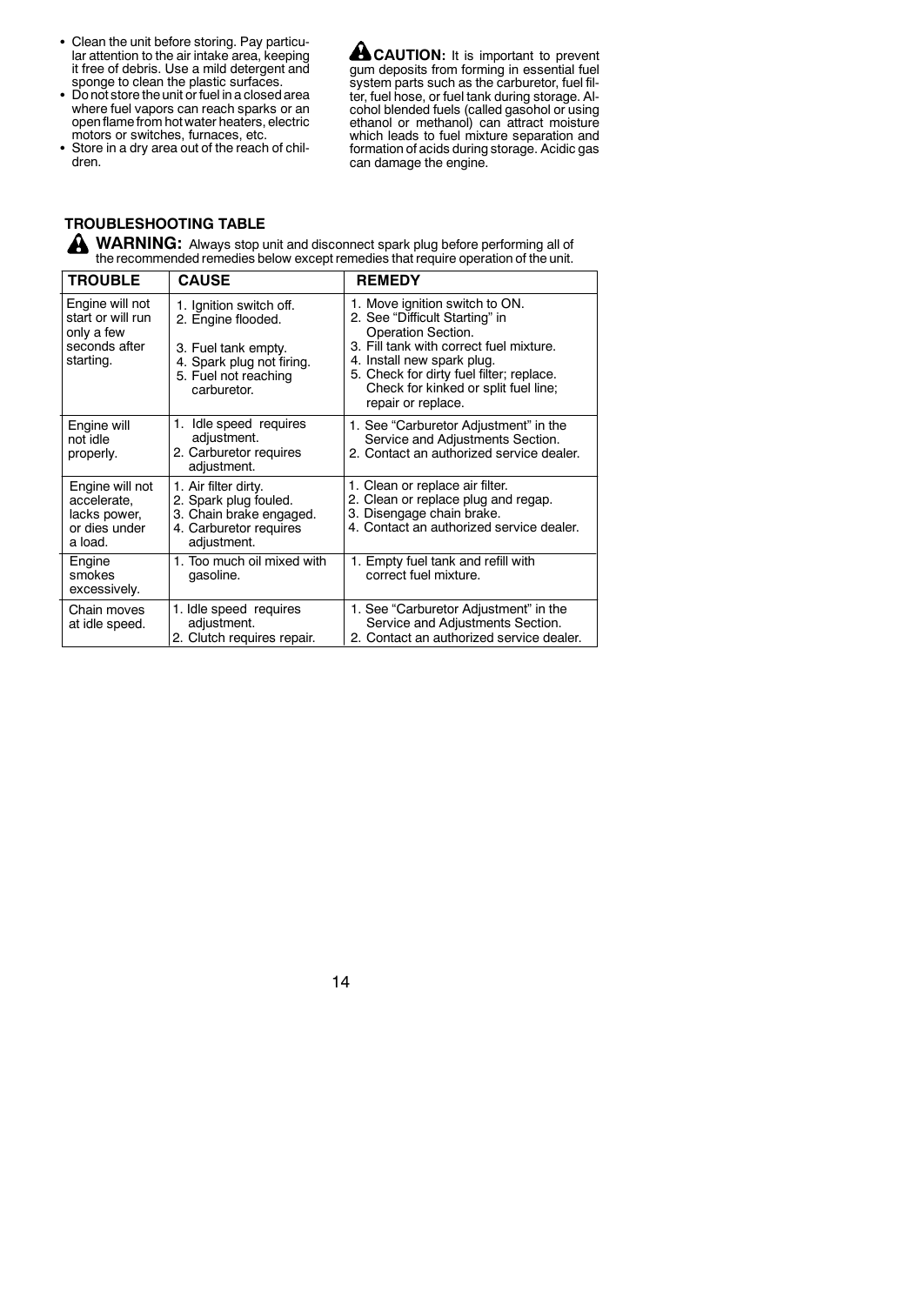- Clean the unit before storing. Pay particular attention to the air intake area, keeping it free of debris. Use a mild detergent and sponge to clean the plastic surfaces.
- Do not store the unit or fuel in a closed area where fuel vapors can reach sparks or an openflame from hot water heaters, electric motors or switches, furnaces, etc.
- Store in a dry area out of the reach of children.

**CAUTION:** It is important to prevent gum deposits from forming in essential fuel system parts such as the carburetor, fuel filter, fuel hose, or fuel tank during storage. Alcohol blended fuels (called gasohol or using ethanol or methanol) can attract moisture which leads to fuel mixture separation and formation of acids during storage. Acidic gas can damage the engine.

# **TROUBLESHOOTING TABLE**

**WARNING:** Always stop unit and disconnect spark plug before performing all of the recommended remedies below except remedies that require operation of the unit.

| <b>TROUBLE</b>                                                                   | <b>CAUSE</b>                                                                                                                             | <b>REMEDY</b>                                                                                                                                                                                                                                                             |
|----------------------------------------------------------------------------------|------------------------------------------------------------------------------------------------------------------------------------------|---------------------------------------------------------------------------------------------------------------------------------------------------------------------------------------------------------------------------------------------------------------------------|
| Engine will not<br>start or will run<br>only a few<br>seconds after<br>starting. | 1. Ignition switch off.<br>2. Engine flooded.<br>3. Fuel tank empty.<br>4. Spark plug not firing.<br>5. Fuel not reaching<br>carburetor. | 1. Move ignition switch to ON.<br>2. See "Difficult Starting" in<br>Operation Section.<br>3. Fill tank with correct fuel mixture.<br>4. Install new spark plug.<br>5. Check for dirty fuel filter; replace.<br>Check for kinked or split fuel line;<br>repair or replace. |
| Engine will<br>not idle<br>properly.                                             | Idle speed requires<br>1.<br>adjustment.<br>2. Carburetor requires<br>adjustment.                                                        | 1. See "Carburetor Adjustment" in the<br>Service and Adjustments Section.<br>2. Contact an authorized service dealer.                                                                                                                                                     |
| Engine will not<br>accelerate.<br>lacks power,<br>or dies under<br>a load.       | 1. Air filter dirty.<br>2. Spark plug fouled.<br>3. Chain brake engaged.<br>4. Carburetor requires<br>adjustment.                        | 1. Clean or replace air filter.<br>2. Clean or replace plug and regap.<br>3. Disengage chain brake.<br>4. Contact an authorized service dealer.                                                                                                                           |
| Engine<br>smokes<br>excessively.                                                 | 1. Too much oil mixed with<br>gasoline.                                                                                                  | 1. Empty fuel tank and refill with<br>correct fuel mixture.                                                                                                                                                                                                               |
| Chain moves<br>at idle speed.                                                    | 1. Idle speed requires<br>adjustment.<br>2. Clutch requires repair.                                                                      | 1. See "Carburetor Adjustment" in the<br>Service and Adjustments Section.<br>2. Contact an authorized service dealer.                                                                                                                                                     |

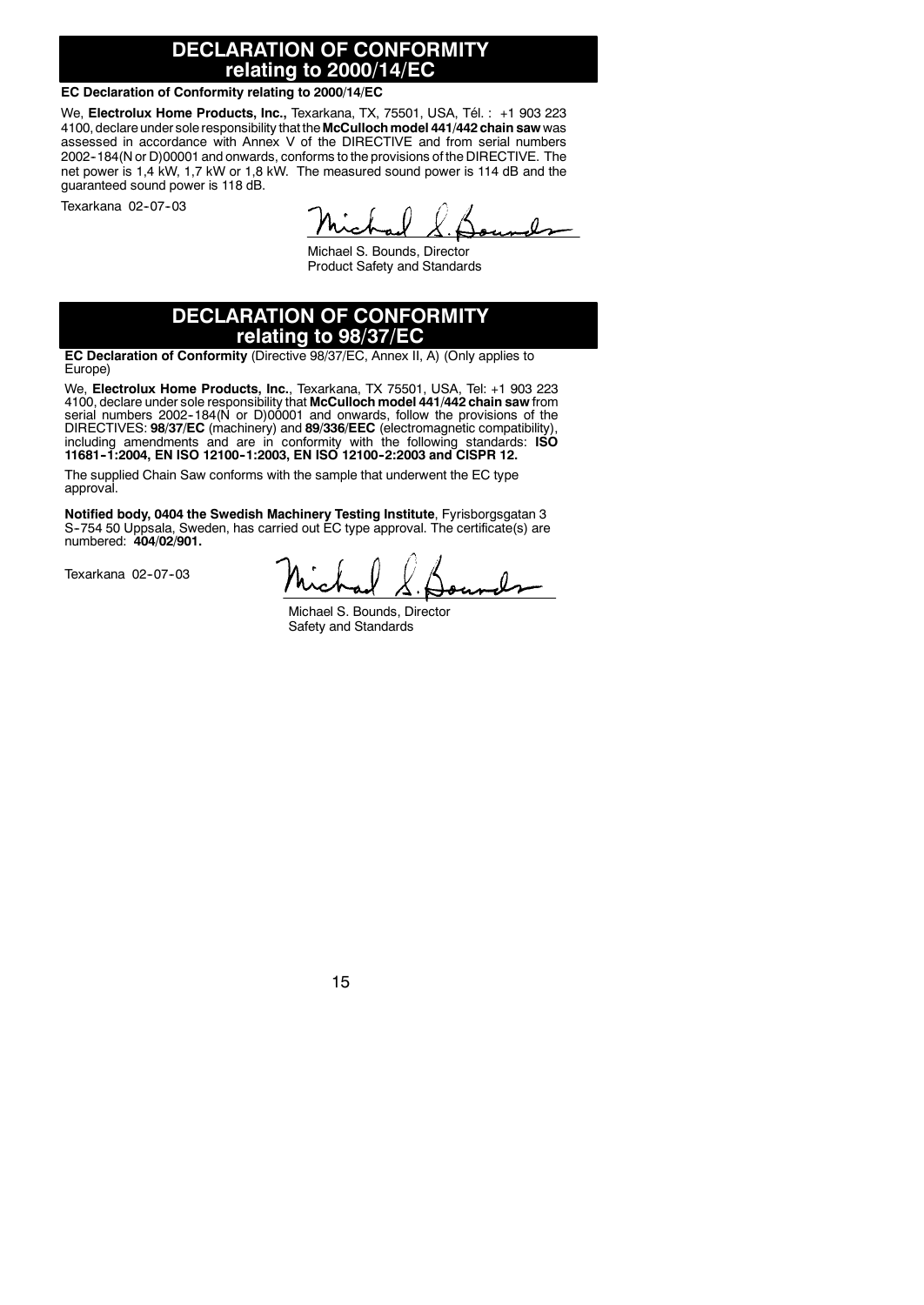# **DECLARATION OF CONFORMITY relating to 2000/14/EC**

### **EC Declaration of Conformity relating to 2000/14/EC**

We, **Electrolux Home Products, Inc.,** Texarkana, TX, 75501, USA, Tél. : +1 903 223 4100, declare under sole responsibility that the **McCullochmodel 441/442 chain saw** was assessed in accordance with Annex V of the DIRECTIVE and from serial numbers 2002-184(N or D)00001 and onwards, conforms to the provisions of the DIRECTIVE. The net power is 1,4 kW, 1,7 kW or 1,8 kW. The measured sound power is 114 dB and the guaranteed sound power is 118 dB.

Texarkana 02-07-03

Michael S. Bounds, Director Product Safety and Standards

# **DECLARATION OF CONFORMITY relating to 98/37/EC**

**EC Declaration of Conformity** (Directive 98/37/EC, Annex II, A) (Only applies to Europe)

We, **Electrolux Home Products, Inc.**, Texarkana, TX 75501, USA, Tel: +1 903 223 4100, declare under sole responsibility that **McCulloch model 441/442 chain saw** from serial numbers 2002--184(N or D)00001 and onwards, follow the provisions of the DIRECTIVES: **98/37/EC** (machinery) and 89/336/EEC (electromagnetic compatibility),<br>including amendments and are in conformity with the following standards: ISO<br>11681-1:2004, EN ISO 12100-1:2003, EN ISO 12100-2:2003 and CIS

The supplied Chain Saw conforms with the sample that underwent the EC type approval.

**Notified body, 0404 the Swedish Machinery Testing Institute**, Fyrisborgsgatan 3<br>S-754 50 Uppsala, Sweden, has carried out EC type approval. The certificate(s) are numbered: **404/02/901.**

Texarkana 02-07-03

Michael S. Bounds, Director Safety and Standards